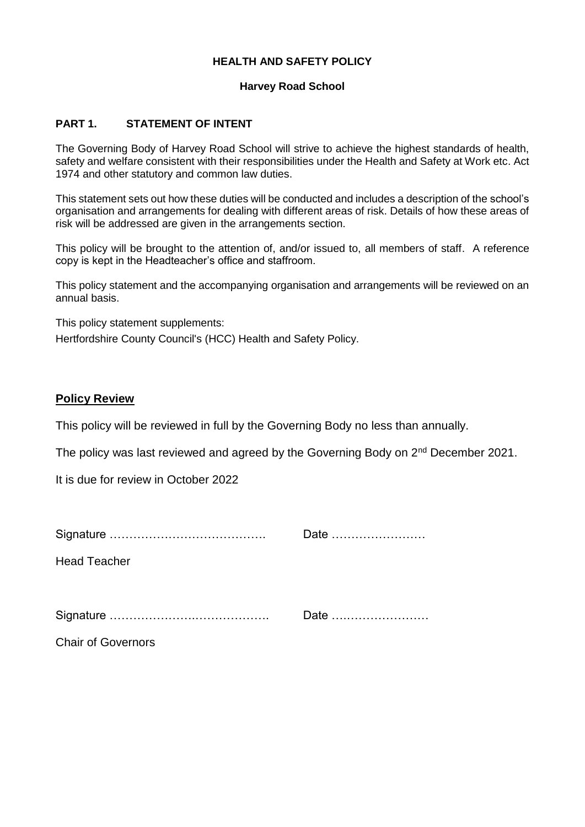# **HEALTH AND SAFETY POLICY**

## **Harvey Road School**

## **PART 1. STATEMENT OF INTENT**

The Governing Body of Harvey Road School will strive to achieve the highest standards of health, safety and welfare consistent with their responsibilities under the Health and Safety at Work etc. Act 1974 and other statutory and common law duties.

This statement sets out how these duties will be conducted and includes a description of the school's organisation and arrangements for dealing with different areas of risk. Details of how these areas of risk will be addressed are given in the arrangements section.

This policy will be brought to the attention of, and/or issued to, all members of staff. A reference copy is kept in the Headteacher's office and staffroom.

This policy statement and the accompanying organisation and arrangements will be reviewed on an annual basis.

This policy statement supplements:

Hertfordshire County Council's (HCC) Health and Safety Policy.

# **Policy Review**

This policy will be reviewed in full by the Governing Body no less than annually.

The policy was last reviewed and agreed by the Governing Body on 2<sup>nd</sup> December 2021.

It is due for review in October 2022

|                           | Date |
|---------------------------|------|
| <b>Head Teacher</b>       |      |
|                           |      |
|                           | Date |
| <b>Chair of Governors</b> |      |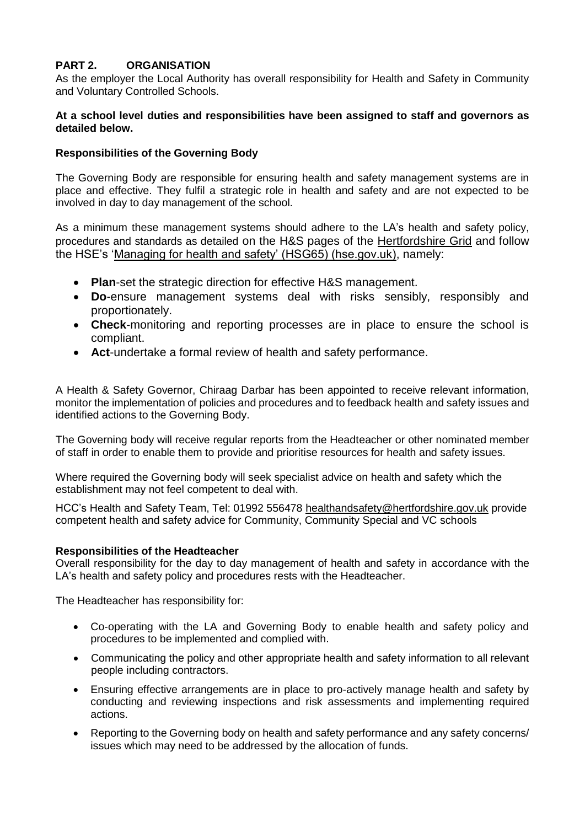# **PART 2. ORGANISATION**

As the employer the Local Authority has overall responsibility for Health and Safety in Community and Voluntary Controlled Schools.

#### **At a school level duties and responsibilities have been assigned to staff and governors as detailed below.**

## **Responsibilities of the Governing Body**

The Governing Body are responsible for ensuring health and safety management systems are in place and effective. They fulfil a strategic role in health and safety and are not expected to be involved in day to day management of the school.

As a minimum these management systems should adhere to the LA's health and safety policy, procedures and standards as detailed on the H&S pages of the [Hertfordshire Grid](https://thegrid.org.uk/health-and-safety-offsite-visits-premises/health-and-safety) and follow the HSE's ['Managing for health and safety' \(HSG65\) \(hse.gov.uk\),](https://www.hse.gov.uk/pubns/books/hsg65.htm) namely:

- **Plan**-set the strategic direction for effective H&S management.
- **Do**-ensure management systems deal with risks sensibly, responsibly and proportionately.
- **Check**-monitoring and reporting processes are in place to ensure the school is compliant.
- **Act**-undertake a formal review of health and safety performance.

A Health & Safety Governor, Chiraag Darbar has been appointed to receive relevant information, monitor the implementation of policies and procedures and to feedback health and safety issues and identified actions to the Governing Body.

The Governing body will receive regular reports from the Headteacher or other nominated member of staff in order to enable them to provide and prioritise resources for health and safety issues.

Where required the Governing body will seek specialist advice on health and safety which the establishment may not feel competent to deal with.

HCC's Health and Safety Team, Tel: 01992 556478 [healthandsafety@hertfordshire.gov.uk](mailto:healthandsafety@hertfordshire.gov.uk) provide competent health and safety advice for Community, Community Special and VC schools

## **Responsibilities of the Headteacher**

Overall responsibility for the day to day management of health and safety in accordance with the LA's health and safety policy and procedures rests with the Headteacher.

The Headteacher has responsibility for:

- Co-operating with the LA and Governing Body to enable health and safety policy and procedures to be implemented and complied with.
- Communicating the policy and other appropriate health and safety information to all relevant people including contractors.
- Ensuring effective arrangements are in place to pro-actively manage health and safety by conducting and reviewing inspections and risk assessments and implementing required actions.
- Reporting to the Governing body on health and safety performance and any safety concerns/ issues which may need to be addressed by the allocation of funds.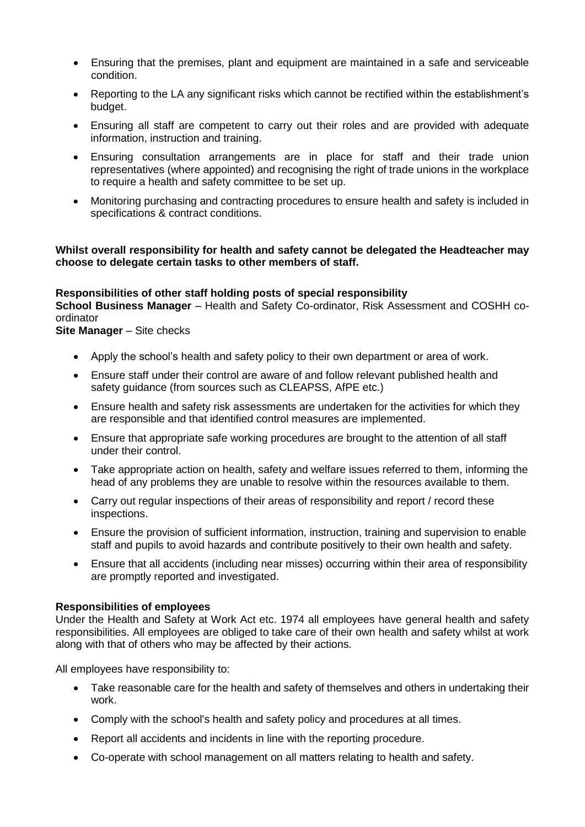- Ensuring that the premises, plant and equipment are maintained in a safe and serviceable condition.
- Reporting to the LA any significant risks which cannot be rectified within the establishment's budget.
- Ensuring all staff are competent to carry out their roles and are provided with adequate information, instruction and training.
- Ensuring consultation arrangements are in place for staff and their trade union representatives (where appointed) and recognising the right of trade unions in the workplace to require a health and safety committee to be set up.
- Monitoring purchasing and contracting procedures to ensure health and safety is included in specifications & contract conditions.

## **Whilst overall responsibility for health and safety cannot be delegated the Headteacher may choose to delegate certain tasks to other members of staff.**

# **Responsibilities of other staff holding posts of special responsibility**

**School Business Manager** – Health and Safety Co-ordinator, Risk Assessment and COSHH coordinator

**Site Manager** – Site checks

- Apply the school's health and safety policy to their own department or area of work.
- Ensure staff under their control are aware of and follow relevant published health and safety guidance (from sources such as CLEAPSS, AfPE etc.)
- Ensure health and safety risk assessments are undertaken for the activities for which they are responsible and that identified control measures are implemented.
- Ensure that appropriate safe working procedures are brought to the attention of all staff under their control.
- Take appropriate action on health, safety and welfare issues referred to them, informing the head of any problems they are unable to resolve within the resources available to them.
- Carry out regular inspections of their areas of responsibility and report / record these inspections.
- Ensure the provision of sufficient information, instruction, training and supervision to enable staff and pupils to avoid hazards and contribute positively to their own health and safety.
- Ensure that all accidents (including near misses) occurring within their area of responsibility are promptly reported and investigated.

## **Responsibilities of employees**

Under the Health and Safety at Work Act etc. 1974 all employees have general health and safety responsibilities. All employees are obliged to take care of their own health and safety whilst at work along with that of others who may be affected by their actions.

All employees have responsibility to:

- Take reasonable care for the health and safety of themselves and others in undertaking their work.
- Comply with the school's health and safety policy and procedures at all times.
- Report all accidents and incidents in line with the reporting procedure.
- Co-operate with school management on all matters relating to health and safety.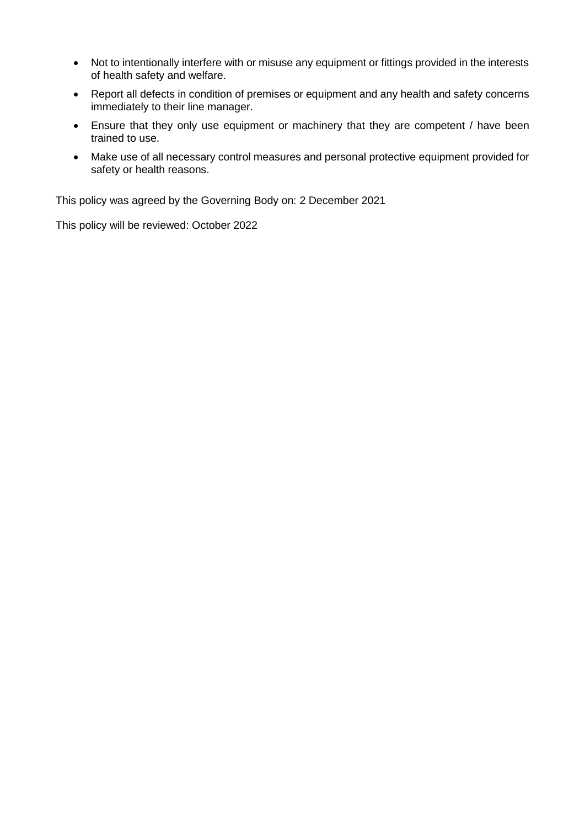- Not to intentionally interfere with or misuse any equipment or fittings provided in the interests of health safety and welfare.
- Report all defects in condition of premises or equipment and any health and safety concerns immediately to their line manager.
- Ensure that they only use equipment or machinery that they are competent / have been trained to use.
- Make use of all necessary control measures and personal protective equipment provided for safety or health reasons.

This policy was agreed by the Governing Body on: 2 December 2021

This policy will be reviewed: October 2022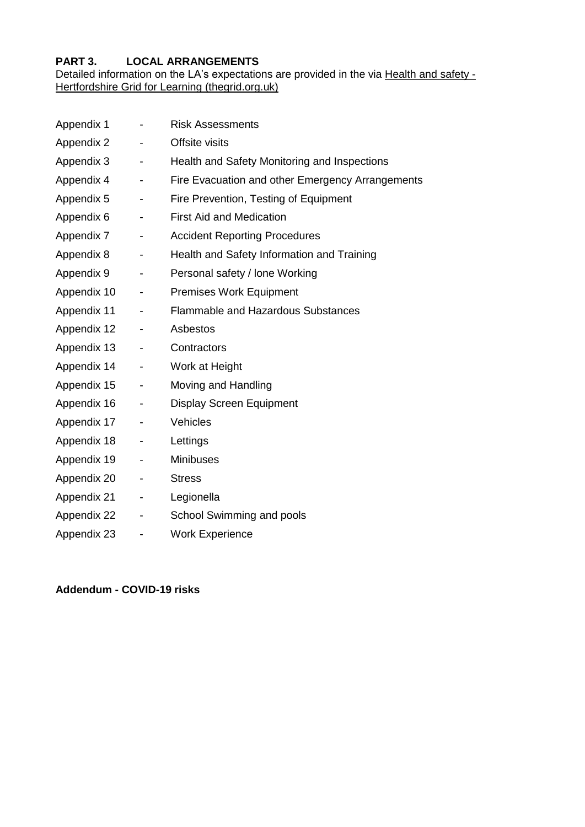# **PART 3. LOCAL ARRANGEMENTS**

Detailed information on the LA's expectations are provided in the via [Health and safety -](https://thegrid.org.uk/health-and-safety-offsite-visits-premises/health-and-safety) [Hertfordshire Grid for Learning \(thegrid.org.uk\)](https://thegrid.org.uk/health-and-safety-offsite-visits-premises/health-and-safety)

| Appendix 1  |                              | <b>Risk Assessments</b>                          |
|-------------|------------------------------|--------------------------------------------------|
| Appendix 2  |                              | Offsite visits                                   |
| Appendix 3  | -                            | Health and Safety Monitoring and Inspections     |
| Appendix 4  | -                            | Fire Evacuation and other Emergency Arrangements |
| Appendix 5  | -                            | Fire Prevention, Testing of Equipment            |
| Appendix 6  | -                            | <b>First Aid and Medication</b>                  |
| Appendix 7  | -                            | <b>Accident Reporting Procedures</b>             |
| Appendix 8  | -                            | Health and Safety Information and Training       |
| Appendix 9  | -                            | Personal safety / lone Working                   |
| Appendix 10 | -                            | <b>Premises Work Equipment</b>                   |
| Appendix 11 | -                            | <b>Flammable and Hazardous Substances</b>        |
| Appendix 12 | $\qquad \qquad \blacksquare$ | Asbestos                                         |
| Appendix 13 | -                            | Contractors                                      |
| Appendix 14 | Ξ.                           | Work at Height                                   |
| Appendix 15 | $\qquad \qquad \blacksquare$ | Moving and Handling                              |
| Appendix 16 | -                            | <b>Display Screen Equipment</b>                  |
| Appendix 17 | -                            | Vehicles                                         |
| Appendix 18 | -                            | Lettings                                         |
| Appendix 19 | -                            | <b>Minibuses</b>                                 |
| Appendix 20 | -                            | <b>Stress</b>                                    |
| Appendix 21 | -                            | Legionella                                       |
| Appendix 22 | -                            | School Swimming and pools                        |
| Appendix 23 | -                            | <b>Work Experience</b>                           |
|             |                              |                                                  |

**Addendum - COVID-19 risks**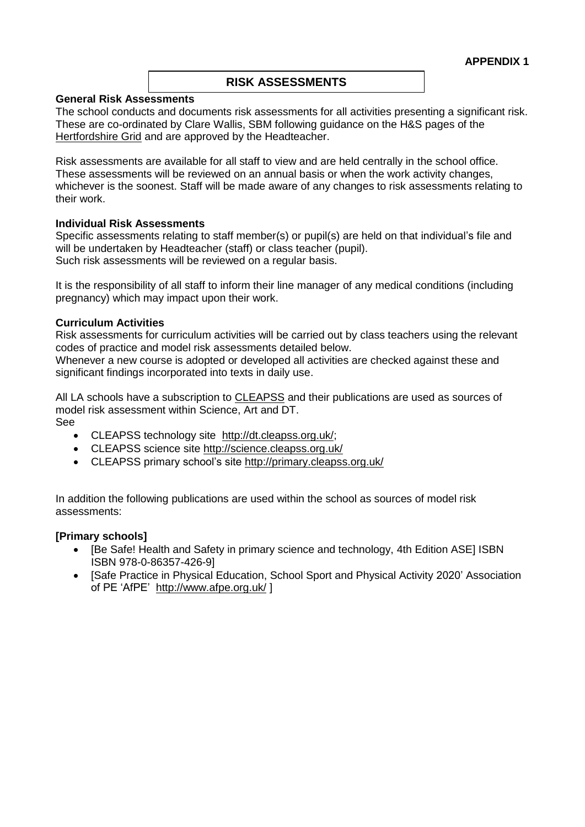## **RISK ASSESSMENTS**

#### **General Risk Assessments**

The school conducts and documents risk assessments for all activities presenting a significant risk. These are co-ordinated by Clare Wallis, SBM following guidance on the H&S pages of the [Hertfordshire Grid](https://thegrid.org.uk/health-and-safety-offsite-visits-premises/health-and-safety/risk-assessments) and are approved by the Headteacher.

Risk assessments are available for all staff to view and are held centrally in the school office. These assessments will be reviewed on an annual basis or when the work activity changes, whichever is the soonest. Staff will be made aware of any changes to risk assessments relating to their work.

#### **Individual Risk Assessments**

Specific assessments relating to staff member(s) or pupil(s) are held on that individual's file and will be undertaken by Headteacher (staff) or class teacher (pupil). Such risk assessments will be reviewed on a regular basis.

It is the responsibility of all staff to inform their line manager of any medical conditions (including pregnancy) which may impact upon their work.

#### **Curriculum Activities**

Risk assessments for curriculum activities will be carried out by class teachers using the relevant codes of practice and model risk assessments detailed below.

Whenever a new course is adopted or developed all activities are checked against these and significant findings incorporated into texts in daily use.

All LA schools have a subscription to [CLEAPSS](http://www.cleapss.org.uk/) and their publications are used as sources of model risk assessment within Science, Art and DT. See

- - CLEAPSS technology site [http://dt.cleapss.org.uk/;](http://dt.cleapss.org.uk/)
	- CLEAPSS science site<http://science.cleapss.org.uk/>
	- CLEAPSS primary school's site<http://primary.cleapss.org.uk/>

In addition the following publications are used within the school as sources of model risk assessments:

#### **[Primary schools]**

- [Be Safe! Health and Safety in primary science and technology, 4th Edition ASE] ISBN ISBN 978-0-86357-426-9]
- [Safe Practice in Physical Education, School Sport and Physical Activity 2020' Association of PE 'AfPE' <http://www.afpe.org.uk/> ]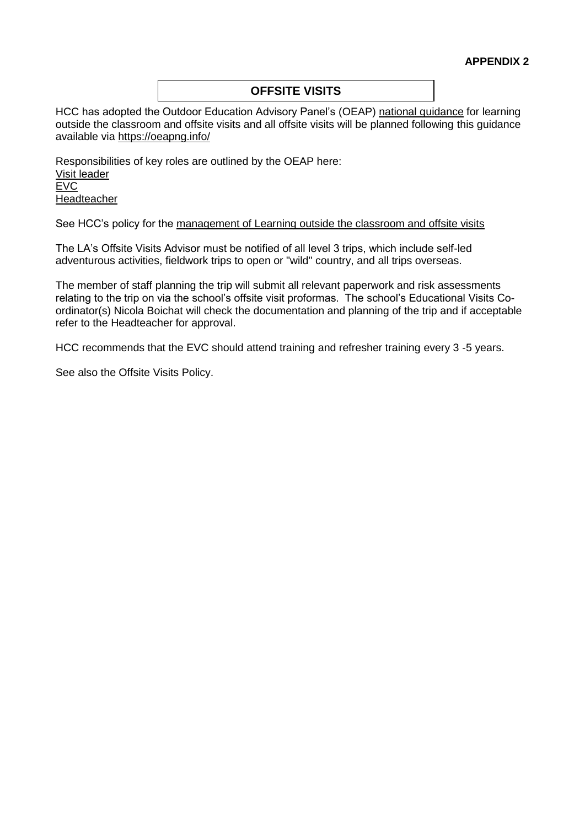# **OFFSITE VISITS**

HCC has adopted the Outdoor Education Advisory Panel's (OEAP) [national guidance](https://oeapng.info/) for learning outside the classroom and offsite visits and all offsite visits will be planned following this guidance available via<https://oeapng.info/>

Responsibilities of key roles are outlined by the OEAP here: [Visit leader](https://oeapng.info/downloads/download-info/3-4k-visit-or-activity-leader) [EVC](https://oeapng.info/downloads/download-info/3-4j-evc-responsibilities) [Headteacher](https://oeapng.info/downloads/download-info/3-4g-headteacher/)

See HCC's policy for the [management of Learning outside the classroom and offsite visits](https://thegrid.org.uk/health-and-safety-offsite-visits-premises/offsite-visits/learning-outside-the-classroom-and-offsite-visits-guidance)

The LA's Offsite Visits Advisor must be notified of all level 3 trips, which include self-led adventurous activities, fieldwork trips to open or "wild" country, and all trips overseas.

The member of staff planning the trip will submit all relevant paperwork and risk assessments relating to the trip on via the school's offsite visit proformas. The school's Educational Visits Coordinator(s) Nicola Boichat will check the documentation and planning of the trip and if acceptable refer to the Headteacher for approval.

HCC recommends that the EVC should attend training and refresher training every 3 -5 years.

See also the Offsite Visits Policy.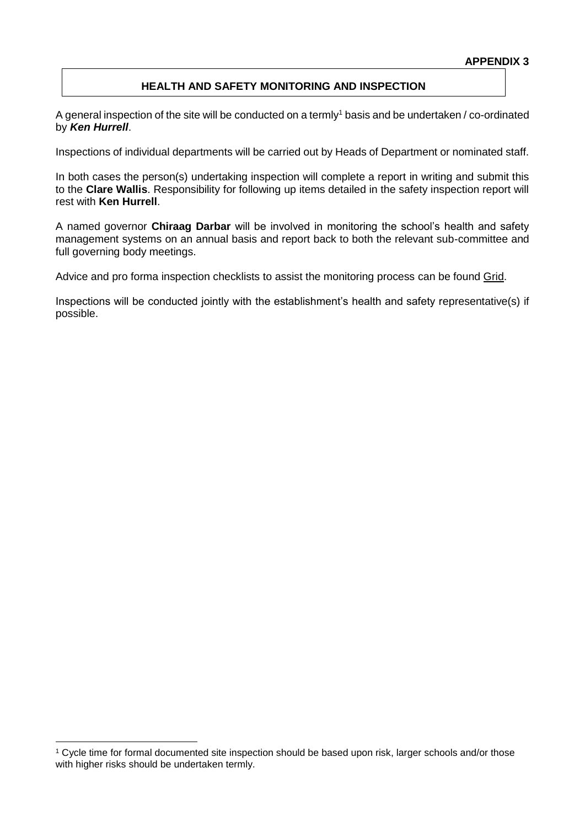#### **APPENDIX 3**

## **HEALTH AND SAFETY MONITORING AND INSPECTION**

A general inspection of the site will be conducted on a termly<sup>1</sup> basis and be undertaken / co-ordinated by *Ken Hurrell*.

Inspections of individual departments will be carried out by Heads of Department or nominated staff.

In both cases the person(s) undertaking inspection will complete a report in writing and submit this to the **Clare Wallis**. Responsibility for following up items detailed in the safety inspection report will rest with **Ken Hurrell**.

A named governor **Chiraag Darbar** will be involved in monitoring the school's health and safety management systems on an annual basis and report back to both the relevant sub-committee and full governing body meetings.

Advice and pro forma inspection checklists to assist the monitoring process can be found [Grid.](https://thegrid.org.uk/health-and-safety-offsite-visits-premises/health-and-safety/monitoring-inspection)

Inspections will be conducted jointly with the establishment's health and safety representative(s) if possible.

1

<sup>&</sup>lt;sup>1</sup> Cycle time for formal documented site inspection should be based upon risk, larger schools and/or those with higher risks should be undertaken termly.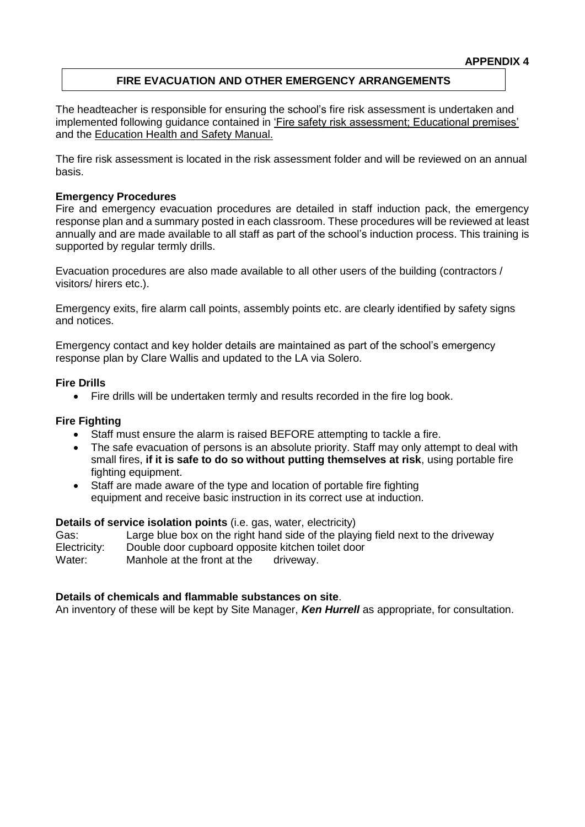## **APPENDIX 4**

## **FIRE EVACUATION AND OTHER EMERGENCY ARRANGEMENTS**

The headteacher is responsible for ensuring the school's fire risk assessment is undertaken and implemented following guidance contained in ['Fire safety risk assessment; Educational premises'](https://www.gov.uk/government/publications/fire-safety-risk-assessment-educational-premises) and the Education [Health and Safety Manual.](http://www.thegrid.org.uk/info/healthandsafety/fire_safety.shtml) 

The fire risk assessment is located in the risk assessment folder and will be reviewed on an annual basis.

#### **Emergency Procedures**

Fire and emergency evacuation procedures are detailed in staff induction pack, the emergency response plan and a summary posted in each classroom. These procedures will be reviewed at least annually and are made available to all staff as part of the school's induction process. This training is supported by regular termly drills.

Evacuation procedures are also made available to all other users of the building (contractors / visitors/ hirers etc.).

Emergency exits, fire alarm call points, assembly points etc. are clearly identified by safety signs and notices.

Emergency contact and key holder details are maintained as part of the school's emergency response plan by Clare Wallis and updated to the LA via Solero.

#### **Fire Drills**

• Fire drills will be undertaken termly and results recorded in the fire log book.

## **Fire Fighting**

- Staff must ensure the alarm is raised BEFORE attempting to tackle a fire.
- The safe evacuation of persons is an absolute priority. Staff may only attempt to deal with small fires, **if it is safe to do so without putting themselves at risk**, using portable fire fighting equipment.
- Staff are made aware of the type and location of portable fire fighting equipment and receive basic instruction in its correct use at induction.

#### **Details of service isolation points** (i.e. gas, water, electricity)

Gas: Large blue box on the right hand side of the playing field next to the driveway Electricity: Double door cupboard opposite kitchen toilet door Water: Manhole at the front at the driveway.

#### **Details of chemicals and flammable substances on site**.

An inventory of these will be kept by Site Manager, *Ken Hurrell* as appropriate, for consultation.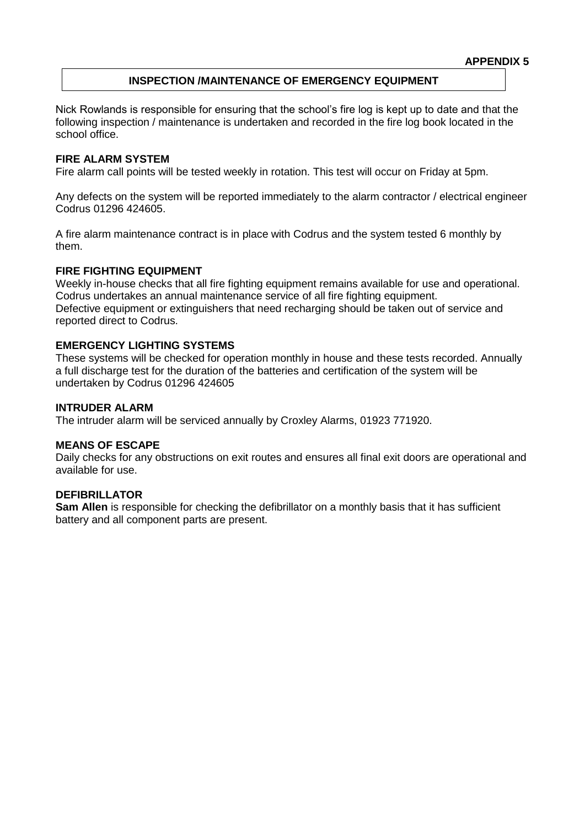#### **APPENDIX 5**

## **INSPECTION /MAINTENANCE OF EMERGENCY EQUIPMENT**

Nick Rowlands is responsible for ensuring that the school's fire log is kept up to date and that the following inspection / maintenance is undertaken and recorded in the fire log book located in the school office.

## **FIRE ALARM SYSTEM**

Fire alarm call points will be tested weekly in rotation. This test will occur on Friday at 5pm.

Any defects on the system will be reported immediately to the alarm contractor / electrical engineer Codrus 01296 424605.

A fire alarm maintenance contract is in place with Codrus and the system tested 6 monthly by them.

#### **FIRE FIGHTING EQUIPMENT**

Weekly in-house checks that all fire fighting equipment remains available for use and operational. Codrus undertakes an annual maintenance service of all fire fighting equipment. Defective equipment or extinguishers that need recharging should be taken out of service and reported direct to Codrus.

#### **EMERGENCY LIGHTING SYSTEMS**

These systems will be checked for operation monthly in house and these tests recorded. Annually a full discharge test for the duration of the batteries and certification of the system will be undertaken by Codrus 01296 424605

#### **INTRUDER ALARM**

The intruder alarm will be serviced annually by Croxley Alarms, 01923 771920.

#### **MEANS OF ESCAPE**

Daily checks for any obstructions on exit routes and ensures all final exit doors are operational and available for use.

#### **DEFIBRILLATOR**

**Sam Allen** is responsible for checking the defibrillator on a monthly basis that it has sufficient battery and all component parts are present.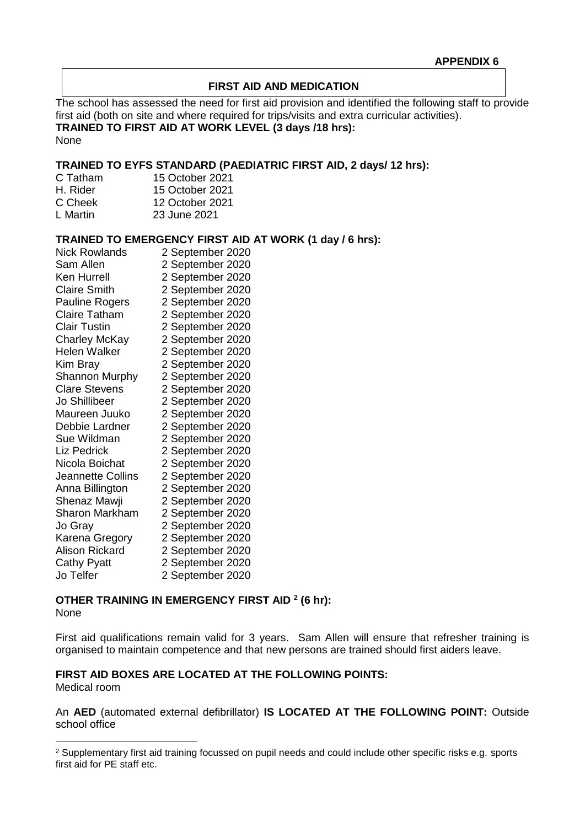## **FIRST AID AND MEDICATION**

The school has assessed the need for first aid provision and identified the following staff to provide first aid (both on site and where required for trips/visits and extra curricular activities). **TRAINED TO FIRST AID AT WORK LEVEL (3 days /18 hrs):** None

## **TRAINED TO EYFS STANDARD (PAEDIATRIC FIRST AID, 2 days/ 12 hrs):**

| C Tatham | 15 October 2021 |
|----------|-----------------|
| H. Rider | 15 October 2021 |
| C Cheek  | 12 October 2021 |
| L Martin | 23 June 2021    |

#### **TRAINED TO EMERGENCY FIRST AID AT WORK (1 day / 6 hrs):**

| <b>Nick Rowlands</b>     | 2 September 2020 |
|--------------------------|------------------|
| Sam Allen                | 2 September 2020 |
| Ken Hurrell              | 2 September 2020 |
| <b>Claire Smith</b>      | 2 September 2020 |
| Pauline Rogers           | 2 September 2020 |
| <b>Claire Tatham</b>     | 2 September 2020 |
| <b>Clair Tustin</b>      | 2 September 2020 |
| <b>Charley McKay</b>     | 2 September 2020 |
| <b>Helen Walker</b>      | 2 September 2020 |
| Kim Bray                 | 2 September 2020 |
| <b>Shannon Murphy</b>    | 2 September 2020 |
| <b>Clare Stevens</b>     | 2 September 2020 |
| Jo Shillibeer            | 2 September 2020 |
| Maureen Juuko            | 2 September 2020 |
| Debbie Lardner           | 2 September 2020 |
| Sue Wildman              | 2 September 2020 |
| Liz Pedrick              | 2 September 2020 |
| Nicola Boichat           | 2 September 2020 |
| <b>Jeannette Collins</b> | 2 September 2020 |
| Anna Billington          | 2 September 2020 |
| Shenaz Mawji             | 2 September 2020 |
| Sharon Markham           | 2 September 2020 |
| Jo Gray                  | 2 September 2020 |
| Karena Gregory           | 2 September 2020 |
| <b>Alison Rickard</b>    | 2 September 2020 |
| <b>Cathy Pyatt</b>       | 2 September 2020 |
| Jo Telfer                | 2 September 2020 |
|                          |                  |

# **OTHER TRAINING IN EMERGENCY FIRST AID <sup>2</sup> (6 hr):**

None

1

First aid qualifications remain valid for 3 years. Sam Allen will ensure that refresher training is organised to maintain competence and that new persons are trained should first aiders leave.

#### **FIRST AID BOXES ARE LOCATED AT THE FOLLOWING POINTS:** Medical room

An **AED** (automated external defibrillator) **IS LOCATED AT THE FOLLOWING POINT:** Outside school office

<sup>&</sup>lt;sup>2</sup> Supplementary first aid training focussed on pupil needs and could include other specific risks e.g. sports first aid for PE staff etc.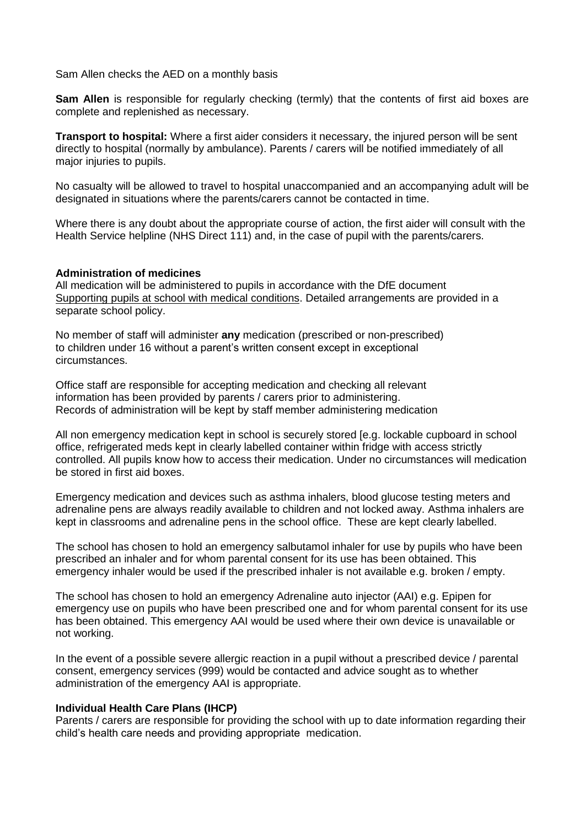Sam Allen checks the AED on a monthly basis

**Sam Allen** is responsible for regularly checking (termly) that the contents of first aid boxes are complete and replenished as necessary.

**Transport to hospital:** Where a first aider considers it necessary, the injured person will be sent directly to hospital (normally by ambulance). Parents / carers will be notified immediately of all major injuries to pupils.

No casualty will be allowed to travel to hospital unaccompanied and an accompanying adult will be designated in situations where the parents/carers cannot be contacted in time.

Where there is any doubt about the appropriate course of action, the first aider will consult with the Health Service helpline (NHS Direct 111) and, in the case of pupil with the parents/carers.

#### **Administration of medicines**

All medication will be administered to pupils in accordance with the DfE document [Supporting pupils at school with medical conditions.](https://www.gov.uk/government/publications/supporting-pupils-at-school-with-medical-conditions--3) Detailed arrangements are provided in a separate school policy.

No member of staff will administer **any** medication (prescribed or non-prescribed) to children under 16 without a parent's written consent except in exceptional circumstances.

Office staff are responsible for accepting medication and checking all relevant information has been provided by parents / carers prior to administering. Records of administration will be kept by staff member administering medication

All non emergency medication kept in school is securely stored [e.g. lockable cupboard in school office, refrigerated meds kept in clearly labelled container within fridge with access strictly controlled. All pupils know how to access their medication. Under no circumstances will medication be stored in first aid boxes.

Emergency medication and devices such as asthma inhalers, blood glucose testing meters and adrenaline pens are always readily available to children and not locked away. Asthma inhalers are kept in classrooms and adrenaline pens in the school office. These are kept clearly labelled.

The school has chosen to hold an emergency salbutamol inhaler for use by pupils who have been prescribed an inhaler and for whom parental consent for its use has been obtained. This emergency inhaler would be used if the prescribed inhaler is not available e.g. broken / empty.

The school has chosen to hold an emergency Adrenaline auto injector (AAI) e.g. Epipen for emergency use on pupils who have been prescribed one and for whom parental consent for its use has been obtained. This emergency AAI would be used where their own device is unavailable or not working.

In the event of a possible severe allergic reaction in a pupil without a prescribed device / parental consent, emergency services (999) would be contacted and advice sought as to whether administration of the emergency AAI is appropriate.

#### **Individual Health Care Plans (IHCP)**

Parents / carers are responsible for providing the school with up to date information regarding their child's health care needs and providing appropriate medication.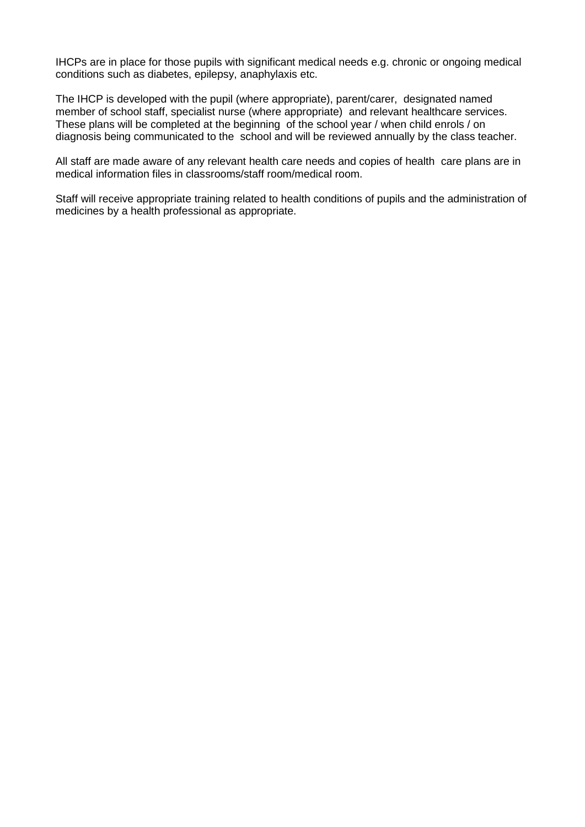IHCPs are in place for those pupils with significant medical needs e.g. chronic or ongoing medical conditions such as diabetes, epilepsy, anaphylaxis etc.

The IHCP is developed with the pupil (where appropriate), parent/carer, designated named member of school staff, specialist nurse (where appropriate) and relevant healthcare services. These plans will be completed at the beginning of the school year / when child enrols / on diagnosis being communicated to the school and will be reviewed annually by the class teacher.

All staff are made aware of any relevant health care needs and copies of health care plans are in medical information files in classrooms/staff room/medical room.

Staff will receive appropriate training related to health conditions of pupils and the administration of medicines by a health professional as appropriate.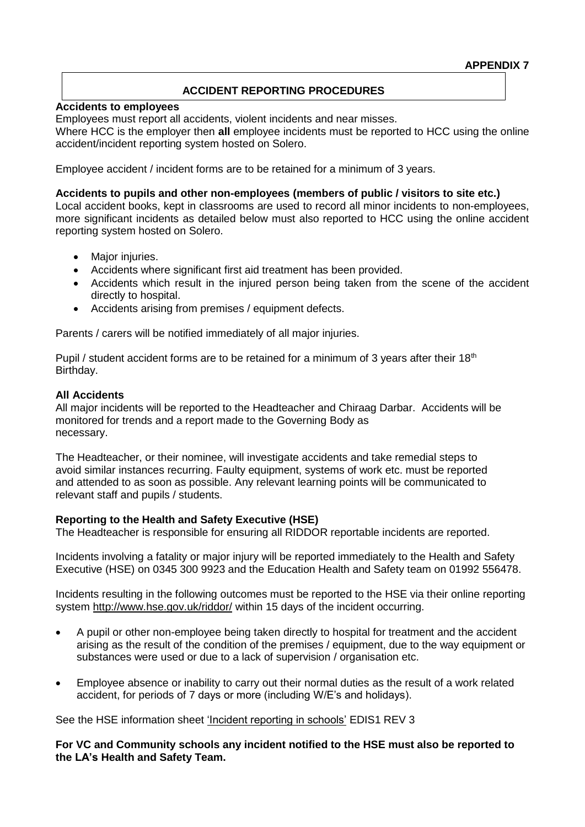# **ACCIDENT REPORTING PROCEDURES**

#### **Accidents to employees**

Employees must report all accidents, violent incidents and near misses.

Where HCC is the employer then **all** employee incidents must be reported to HCC using the online accident/incident reporting system hosted on Solero.

Employee accident / incident forms are to be retained for a minimum of 3 years.

#### **Accidents to pupils and other non-employees (members of public / visitors to site etc.)**

Local accident books, kept in classrooms are used to record all minor incidents to non-employees, more significant incidents as detailed below must also reported to HCC using the online accident reporting system hosted on Solero.

- Major injuries.
- Accidents where significant first aid treatment has been provided.
- Accidents which result in the injured person being taken from the scene of the accident directly to hospital.
- Accidents arising from premises / equipment defects.

Parents / carers will be notified immediately of all major injuries.

Pupil / student accident forms are to be retained for a minimum of 3 years after their  $18<sup>th</sup>$ Birthday.

## **All Accidents**

All major incidents will be reported to the Headteacher and Chiraag Darbar. Accidents will be monitored for trends and a report made to the Governing Body as necessary.

The Headteacher, or their nominee, will investigate accidents and take remedial steps to avoid similar instances recurring. Faulty equipment, systems of work etc. must be reported and attended to as soon as possible. Any relevant learning points will be communicated to relevant staff and pupils / students.

## **Reporting to the Health and Safety Executive (HSE)**

The Headteacher is responsible for ensuring all RIDDOR reportable incidents are reported.

Incidents involving a fatality or major injury will be reported immediately to the Health and Safety Executive (HSE) on 0345 300 9923 and the Education Health and Safety team on 01992 556478.

Incidents resulting in the following outcomes must be reported to the HSE via their online reporting system <http://www.hse.gov.uk/riddor/> within 15 days of the incident occurring.

- A pupil or other non-employee being taken directly to hospital for treatment and the accident arising as the result of the condition of the premises / equipment, due to the way equipment or substances were used or due to a lack of supervision / organisation etc.
- Employee absence or inability to carry out their normal duties as the result of a work related accident, for periods of 7 days or more (including W/E's and holidays).

See the HSE information sheet ['Incident reporting in schools'](http://www.hse.gov.uk/pubns/edis1.pdf) EDIS1 REV 3

**For VC and Community schools any incident notified to the HSE must also be reported to the LA's Health and Safety Team.**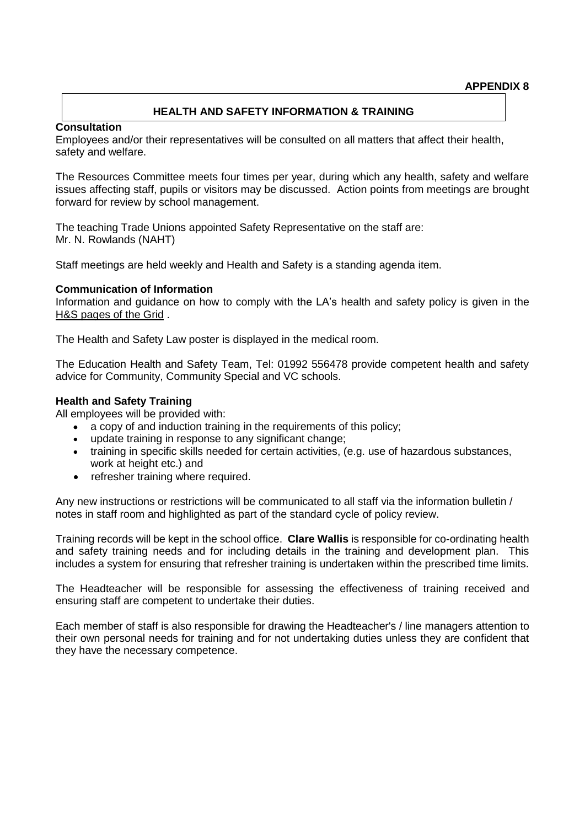## **HEALTH AND SAFETY INFORMATION & TRAINING**

#### **Consultation**

Employees and/or their representatives will be consulted on all matters that affect their health, safety and welfare.

The Resources Committee meets four times per year, during which any health, safety and welfare issues affecting staff, pupils or visitors may be discussed. Action points from meetings are brought forward for review by school management.

The teaching Trade Unions appointed Safety Representative on the staff are: Mr. N. Rowlands (NAHT)

Staff meetings are held weekly and Health and Safety is a standing agenda item.

#### **Communication of Information**

Information and guidance on how to comply with the LA's health and safety policy is given in the [H&S pages of the Grid](https://thegrid.org.uk/health-and-safety-offsite-visits-premises/health-and-safety/health-and-safety-topics/fire-safety) .

The Health and Safety Law poster is displayed in the medical room.

The Education Health and Safety Team, Tel: 01992 556478 provide competent health and safety advice for Community, Community Special and VC schools.

#### **Health and Safety Training**

All employees will be provided with:

- a copy of and induction training in the requirements of this policy;
- update training in response to any significant change;
- training in specific skills needed for certain activities, (e.g. use of hazardous substances, work at height etc.) and
- refresher training where required.

Any new instructions or restrictions will be communicated to all staff via the information bulletin / notes in staff room and highlighted as part of the standard cycle of policy review.

Training records will be kept in the school office. **Clare Wallis** is responsible for co-ordinating health and safety training needs and for including details in the training and development plan. This includes a system for ensuring that refresher training is undertaken within the prescribed time limits.

The Headteacher will be responsible for assessing the effectiveness of training received and ensuring staff are competent to undertake their duties.

Each member of staff is also responsible for drawing the Headteacher's / line managers attention to their own personal needs for training and for not undertaking duties unless they are confident that they have the necessary competence.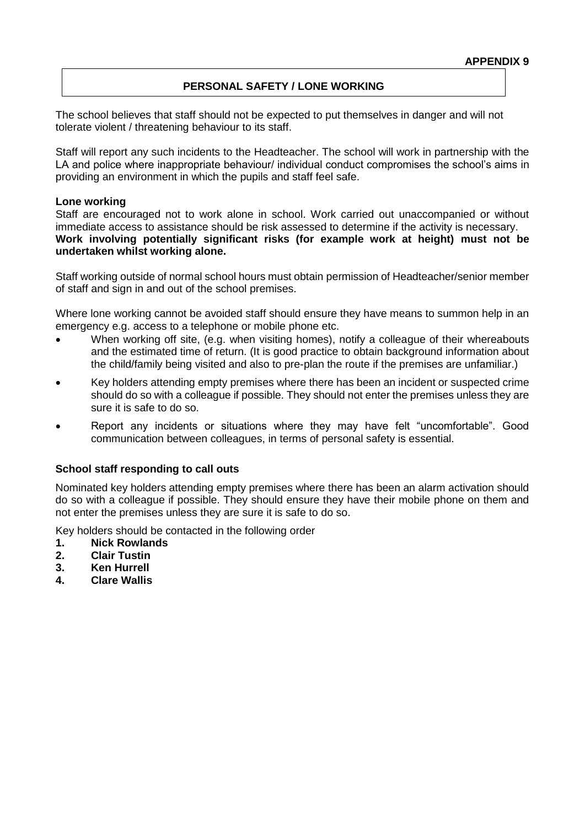# **PERSONAL SAFETY / LONE WORKING**

The school believes that staff should not be expected to put themselves in danger and will not tolerate violent / threatening behaviour to its staff.

Staff will report any such incidents to the Headteacher. The school will work in partnership with the LA and police where inappropriate behaviour/ individual conduct compromises the school's aims in providing an environment in which the pupils and staff feel safe.

#### **Lone working**

Staff are encouraged not to work alone in school. Work carried out unaccompanied or without immediate access to assistance should be risk assessed to determine if the activity is necessary. **Work involving potentially significant risks (for example work at height) must not be undertaken whilst working alone.**

Staff working outside of normal school hours must obtain permission of Headteacher/senior member of staff and sign in and out of the school premises.

Where lone working cannot be avoided staff should ensure they have means to summon help in an emergency e.g. access to a telephone or mobile phone etc.

- When working off site, (e.g. when visiting homes), notify a colleague of their whereabouts and the estimated time of return. (It is good practice to obtain background information about the child/family being visited and also to pre-plan the route if the premises are unfamiliar.)
- Key holders attending empty premises where there has been an incident or suspected crime should do so with a colleague if possible. They should not enter the premises unless they are sure it is safe to do so.
- Report any incidents or situations where they may have felt "uncomfortable". Good communication between colleagues, in terms of personal safety is essential.

## **School staff responding to call outs**

Nominated key holders attending empty premises where there has been an alarm activation should do so with a colleague if possible. They should ensure they have their mobile phone on them and not enter the premises unless they are sure it is safe to do so.

Key holders should be contacted in the following order

- **1. Nick Rowlands**
- **2. Clair Tustin**
- **3. Ken Hurrell**
- **4. Clare Wallis**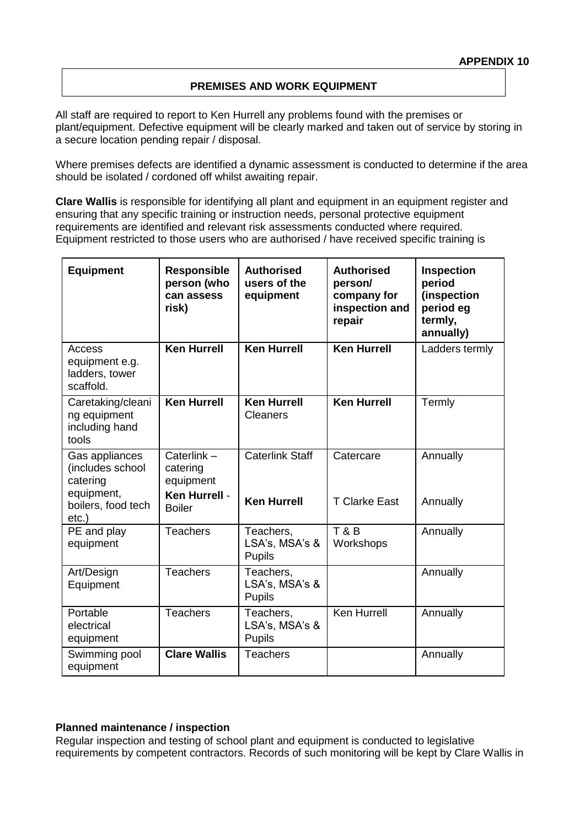# **PREMISES AND WORK EQUIPMENT**

All staff are required to report to Ken Hurrell any problems found with the premises or plant/equipment. Defective equipment will be clearly marked and taken out of service by storing in a secure location pending repair / disposal.

Where premises defects are identified a dynamic assessment is conducted to determine if the area should be isolated / cordoned off whilst awaiting repair.

**Clare Wallis** is responsible for identifying all plant and equipment in an equipment register and ensuring that any specific training or instruction needs, personal protective equipment requirements are identified and relevant risk assessments conducted where required. Equipment restricted to those users who are authorised / have received specific training is

| <b>Equipment</b>                                                                               | <b>Responsible</b><br>person (who<br>can assess<br>risk)              | <b>Authorised</b><br>users of the<br>equipment | <b>Authorised</b><br>person/<br>company for<br>inspection and<br>repair | <b>Inspection</b><br>period<br>(inspection<br>period eg<br>termly,<br>annually) |
|------------------------------------------------------------------------------------------------|-----------------------------------------------------------------------|------------------------------------------------|-------------------------------------------------------------------------|---------------------------------------------------------------------------------|
| Access<br>equipment e.g.<br>ladders, tower<br>scaffold.                                        | <b>Ken Hurrell</b>                                                    | <b>Ken Hurrell</b>                             | <b>Ken Hurrell</b>                                                      | Ladders termly                                                                  |
| Caretaking/cleani<br>ng equipment<br>including hand<br>tools                                   | <b>Ken Hurrell</b>                                                    | <b>Ken Hurrell</b><br><b>Cleaners</b>          | <b>Ken Hurrell</b>                                                      | Termly                                                                          |
| Gas appliances<br>(includes school<br>catering<br>equipment,<br>boilers, food tech<br>$etc.$ ) | Caterlink-<br>catering<br>equipment<br>Ken Hurrell -<br><b>Boiler</b> | <b>Caterlink Staff</b><br><b>Ken Hurrell</b>   | Catercare<br><b>T Clarke East</b>                                       | Annually<br>Annually                                                            |
| PE and play<br>equipment                                                                       | <b>Teachers</b>                                                       | Teachers,<br>LSA's, MSA's &<br><b>Pupils</b>   | T&B<br>Workshops                                                        | Annually                                                                        |
| Art/Design<br>Equipment                                                                        | <b>Teachers</b>                                                       | Teachers,<br>LSA's, MSA's &<br><b>Pupils</b>   |                                                                         | Annually                                                                        |
| Portable<br>electrical<br>equipment                                                            | <b>Teachers</b>                                                       | Teachers,<br>LSA's, MSA's &<br><b>Pupils</b>   | <b>Ken Hurrell</b>                                                      | Annually                                                                        |
| Swimming pool<br>equipment                                                                     | <b>Clare Wallis</b>                                                   | <b>Teachers</b>                                |                                                                         | Annually                                                                        |

#### **Planned maintenance / inspection**

Regular inspection and testing of school plant and equipment is conducted to legislative requirements by competent contractors. Records of such monitoring will be kept by Clare Wallis in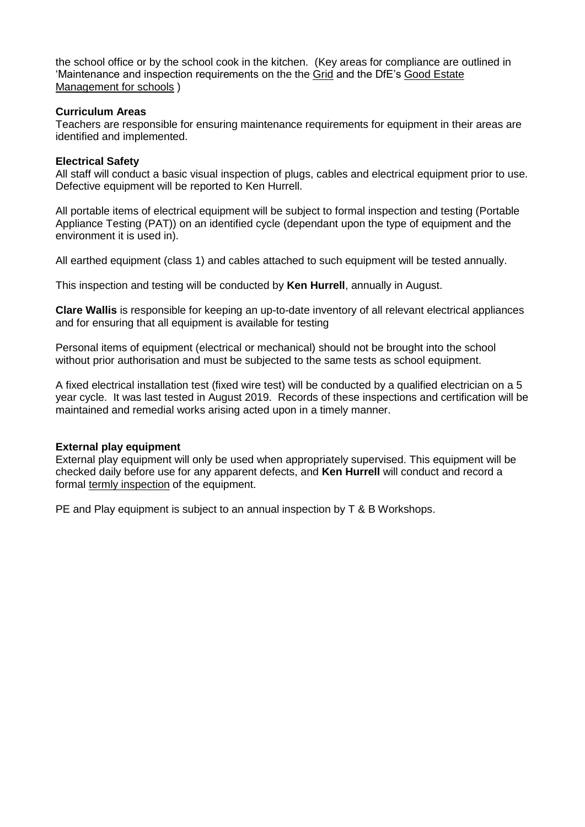the school office or by the school cook in the kitchen. (Key areas for compliance are outlined in 'Maintenance and inspection requirements on the the [Grid](https://thegrid.org.uk/health-and-safety-offsite-visits-premises/health-and-safety/premises-and-site-related) and the DfE's [Good Estate](https://www.gov.uk/guidance/good-estate-management-for-schools/health-and-safety)  [Management for schools](https://www.gov.uk/guidance/good-estate-management-for-schools/health-and-safety) )

## **Curriculum Areas**

Teachers are responsible for ensuring maintenance requirements for equipment in their areas are identified and implemented.

#### **Electrical Safety**

All staff will conduct a basic visual inspection of plugs, cables and electrical equipment prior to use. Defective equipment will be reported to Ken Hurrell.

All portable items of electrical equipment will be subject to formal inspection and testing (Portable Appliance Testing (PAT)) on an identified cycle (dependant upon the type of equipment and the environment it is used in).

All earthed equipment (class 1) and cables attached to such equipment will be tested annually.

This inspection and testing will be conducted by **Ken Hurrell**, annually in August.

**Clare Wallis** is responsible for keeping an up-to-date inventory of all relevant electrical appliances and for ensuring that all equipment is available for testing

Personal items of equipment (electrical or mechanical) should not be brought into the school without prior authorisation and must be subjected to the same tests as school equipment.

A fixed electrical installation test (fixed wire test) will be conducted by a qualified electrician on a 5 year cycle. It was last tested in August 2019. Records of these inspections and certification will be maintained and remedial works arising acted upon in a timely manner.

## **External play equipment**

External play equipment will only be used when appropriately supervised. This equipment will be checked daily before use for any apparent defects, and **Ken Hurrell** will conduct and record a formal [termly inspection](https://thegrid.org.uk/health-and-safety-offsite-visits-premises/health-and-safety/health-and-safety-topics/play-equipment) of the equipment.

PE and Play equipment is subject to an annual inspection by T & B Workshops.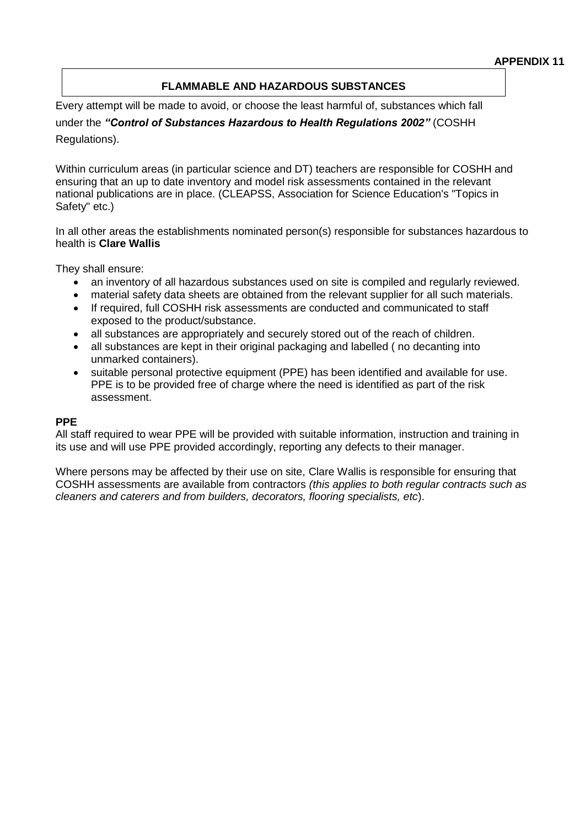# **FLAMMABLE AND HAZARDOUS SUBSTANCES**

Every attempt will be made to avoid, or choose the least harmful of, substances which fall under the *"Control of Substances Hazardous to Health Regulations 2002"* (COSHH Regulations).

Within curriculum areas (in particular science and DT) teachers are responsible for COSHH and ensuring that an up to date inventory and model risk assessments contained in the relevant national publications are in place. (CLEAPSS, Association for Science Education's "Topics in Safety" etc.)

In all other areas the establishments nominated person(s) responsible for substances hazardous to health is **Clare Wallis**

They shall ensure:

- an inventory of all hazardous substances used on site is compiled and regularly reviewed.
- material safety data sheets are obtained from the relevant supplier for all such materials.
- If required, full COSHH risk assessments are conducted and communicated to staff exposed to the product/substance.
- all substances are appropriately and securely stored out of the reach of children.
- all substances are kept in their original packaging and labelled ( no decanting into unmarked containers).
- suitable personal protective equipment (PPE) has been identified and available for use. PPE is to be provided free of charge where the need is identified as part of the risk assessment.

## **PPE**

All staff required to wear PPE will be provided with suitable information, instruction and training in its use and will use PPE provided accordingly, reporting any defects to their manager.

Where persons may be affected by their use on site, Clare Wallis is responsible for ensuring that COSHH assessments are available from contractors *(this applies to both regular contracts such as cleaners and caterers and from builders, decorators, flooring specialists, etc*).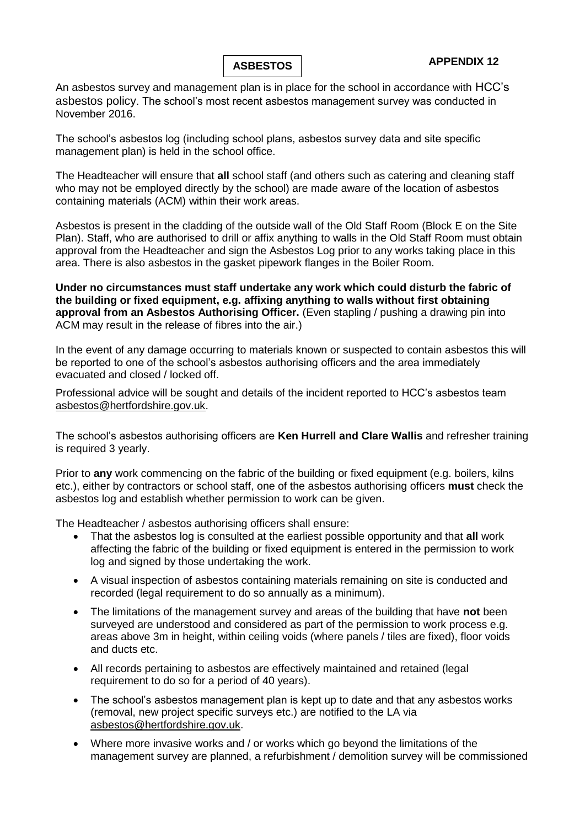

An asbestos survey and management plan is in place for the school in accordance with HCC's asbestos policy. The school's most recent asbestos management survey was conducted in November 2016.

The school's asbestos log (including school plans, asbestos survey data and site specific management plan) is held in the school office.

The Headteacher will ensure that **all** school staff (and others such as catering and cleaning staff who may not be employed directly by the school) are made aware of the location of asbestos containing materials (ACM) within their work areas.

Asbestos is present in the cladding of the outside wall of the Old Staff Room (Block E on the Site Plan). Staff, who are authorised to drill or affix anything to walls in the Old Staff Room must obtain approval from the Headteacher and sign the Asbestos Log prior to any works taking place in this area. There is also asbestos in the gasket pipework flanges in the Boiler Room.

**Under no circumstances must staff undertake any work which could disturb the fabric of the building or fixed equipment, e.g. affixing anything to walls without first obtaining approval from an Asbestos Authorising Officer.** (Even stapling / pushing a drawing pin into ACM may result in the release of fibres into the air.)

In the event of any damage occurring to materials known or suspected to contain asbestos this will be reported to one of the school's asbestos authorising officers and the area immediately evacuated and closed / locked off.

Professional advice will be sought and details of the incident reported to HCC's asbestos team [asbestos@hertfordshire.gov.uk.](mailto:asbestos@hertfordshire.gov.uk)

The school's asbestos authorising officers are **Ken Hurrell and Clare Wallis** and refresher training is required 3 yearly.

Prior to **any** work commencing on the fabric of the building or fixed equipment (e.g. boilers, kilns etc.), either by contractors or school staff, one of the asbestos authorising officers **must** check the asbestos log and establish whether permission to work can be given.

The Headteacher / asbestos authorising officers shall ensure:

- That the asbestos log is consulted at the earliest possible opportunity and that **all** work affecting the fabric of the building or fixed equipment is entered in the permission to work log and signed by those undertaking the work.
- A visual inspection of asbestos containing materials remaining on site is conducted and recorded (legal requirement to do so annually as a minimum).
- The limitations of the management survey and areas of the building that have **not** been surveyed are understood and considered as part of the permission to work process e.g. areas above 3m in height, within ceiling voids (where panels / tiles are fixed), floor voids and ducts etc.
- All records pertaining to asbestos are effectively maintained and retained (legal requirement to do so for a period of 40 years).
- The school's asbestos management plan is kept up to date and that any asbestos works (removal, new project specific surveys etc.) are notified to the LA via [asbestos@hertfordshire.gov.uk.](mailto:asbestos@hertfordshire.gov.uk)
- Where more invasive works and / or works which go beyond the limitations of the management survey are planned, a refurbishment / demolition survey will be commissioned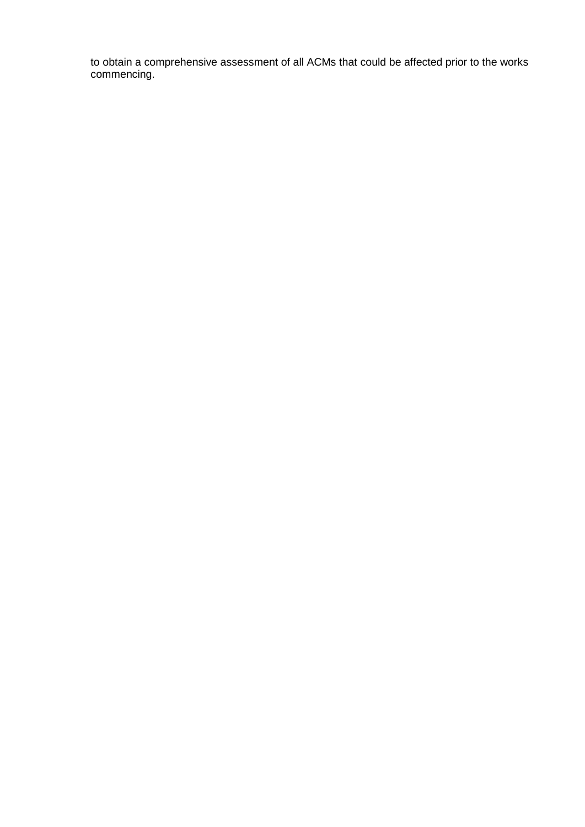to obtain a comprehensive assessment of all ACMs that could be affected prior to the works commencing.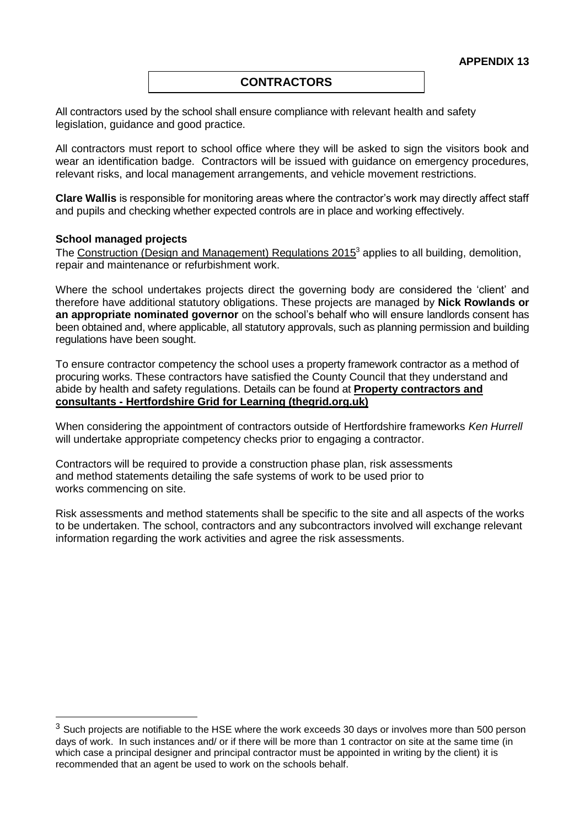## **CONTRACTORS**

All contractors used by the school shall ensure compliance with relevant health and safety legislation, guidance and good practice.

All contractors must report to school office where they will be asked to sign the visitors book and wear an identification badge. Contractors will be issued with guidance on emergency procedures, relevant risks, and local management arrangements, and vehicle movement restrictions.

**Clare Wallis** is responsible for monitoring areas where the contractor's work may directly affect staff and pupils and checking whether expected controls are in place and working effectively.

#### **School managed projects**

1

The [Construction \(Design and Management\) Regulations 2015](http://www.hse.gov.uk/construction/cdm/2015/index.htm?ebul=gd-cons/jun15&cr=1)<sup>3</sup> applies to all building, demolition, repair and maintenance or refurbishment work.

Where the school undertakes projects direct the governing body are considered the 'client' and therefore have additional statutory obligations. These projects are managed by **Nick Rowlands or an appropriate nominated governor** on the school's behalf who will ensure landlords consent has been obtained and, where applicable, all statutory approvals, such as planning permission and building regulations have been sought.

To ensure contractor competency the school uses a property framework contractor as a method of procuring works. These contractors have satisfied the County Council that they understand and abide by health and safety regulations. Details can be found at **[Property contractors and](https://thegrid.org.uk/health-and-safety-offsite-visits-premises/premises-and-sites/property-contractors-and-consultants)  consultants - [Hertfordshire Grid for Learning \(thegrid.org.uk\)](https://thegrid.org.uk/health-and-safety-offsite-visits-premises/premises-and-sites/property-contractors-and-consultants)**

When considering the appointment of contractors outside of Hertfordshire frameworks *Ken Hurrell* will undertake appropriate competency checks prior to engaging a contractor.

Contractors will be required to provide a construction phase plan, risk assessments and method statements detailing the safe systems of work to be used prior to works commencing on site.

Risk assessments and method statements shall be specific to the site and all aspects of the works to be undertaken. The school, contractors and any subcontractors involved will exchange relevant information regarding the work activities and agree the risk assessments.

 $3$  Such projects are notifiable to the HSE where the work exceeds 30 days or involves more than 500 person days of work. In such instances and/ or if there will be more than 1 contractor on site at the same time (in which case a principal designer and principal contractor must be appointed in writing by the client) it is recommended that an agent be used to work on the schools behalf.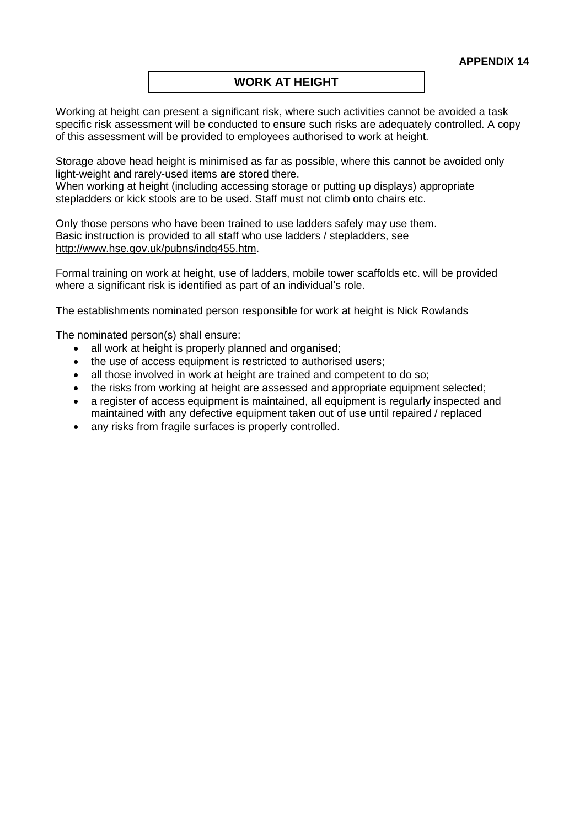# **WORK AT HEIGHT**

Working at height can present a significant risk, where such activities cannot be avoided a task specific risk assessment will be conducted to ensure such risks are adequately controlled. A copy of this assessment will be provided to employees authorised to work at height.

Storage above head height is minimised as far as possible, where this cannot be avoided only light-weight and rarely-used items are stored there.

When working at height (including accessing storage or putting up displays) appropriate stepladders or kick stools are to be used. Staff must not climb onto chairs etc.

Only those persons who have been trained to use ladders safely may use them. Basic instruction is provided to all staff who use ladders / stepladders, see [http://www.hse.gov.uk/pubns/indg455.htm.](http://www.hse.gov.uk/pubns/indg455.htm)

Formal training on work at height, use of ladders, mobile tower scaffolds etc. will be provided where a significant risk is identified as part of an individual's role.

The establishments nominated person responsible for work at height is Nick Rowlands

The nominated person(s) shall ensure:

- all work at height is properly planned and organised;
- the use of access equipment is restricted to authorised users:
- all those involved in work at height are trained and competent to do so;
- the risks from working at height are assessed and appropriate equipment selected;
- a register of access equipment is maintained, all equipment is regularly inspected and maintained with any defective equipment taken out of use until repaired / replaced
- any risks from fragile surfaces is properly controlled.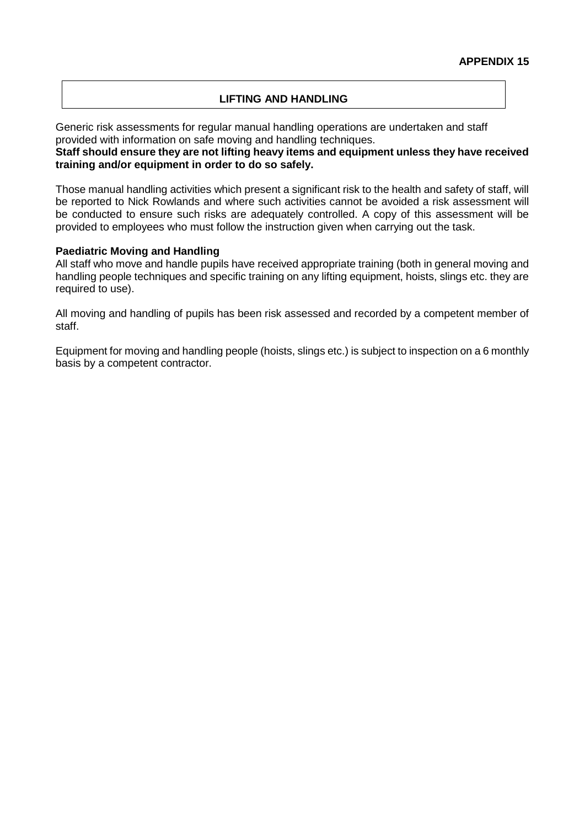## **LIFTING AND HANDLING**

Generic risk assessments for regular manual handling operations are undertaken and staff provided with information on safe moving and handling techniques.

#### **Staff should ensure they are not lifting heavy items and equipment unless they have received training and/or equipment in order to do so safely.**

Those manual handling activities which present a significant risk to the health and safety of staff, will be reported to Nick Rowlands and where such activities cannot be avoided a risk assessment will be conducted to ensure such risks are adequately controlled. A copy of this assessment will be provided to employees who must follow the instruction given when carrying out the task.

#### **Paediatric Moving and Handling**

All staff who move and handle pupils have received appropriate training (both in general moving and handling people techniques and specific training on any lifting equipment, hoists, slings etc. they are required to use).

All moving and handling of pupils has been risk assessed and recorded by a competent member of staff.

Equipment for moving and handling people (hoists, slings etc.) is subject to inspection on a 6 monthly basis by a competent contractor.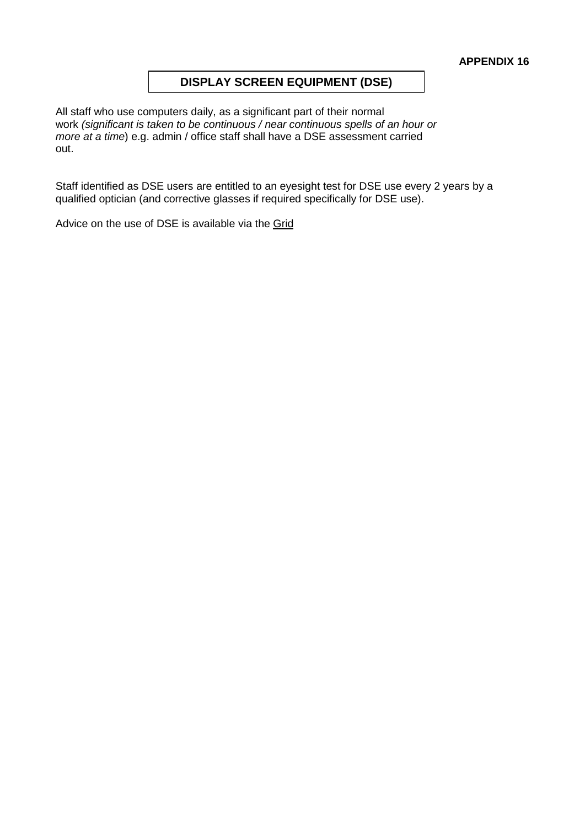# **DISPLAY SCREEN EQUIPMENT (DSE)**

All staff who use computers daily, as a significant part of their normal work *(significant is taken to be continuous / near continuous spells of an hour or more at a time*) e.g. admin / office staff shall have a DSE assessment carried out.

Staff identified as DSE users are entitled to an eyesight test for DSE use every 2 years by a qualified optician (and corrective glasses if required specifically for DSE use).

Advice on the use of DSE is available via the [Grid](https://thegrid.org.uk/health-and-safety-offsite-visits-premises/health-and-safety/health-and-safety-topics/display-screen-equipment)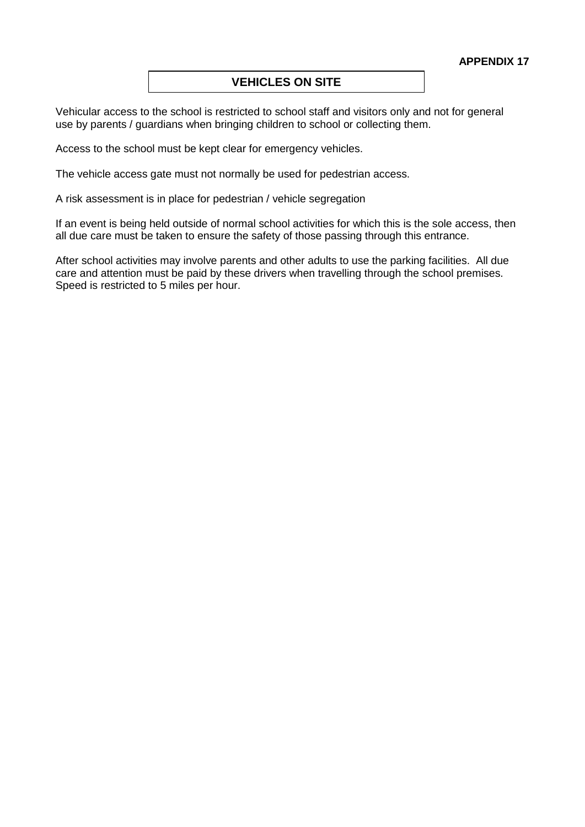## **VEHICLES ON SITE**

Vehicular access to the school is restricted to school staff and visitors only and not for general use by parents / guardians when bringing children to school or collecting them.

Access to the school must be kept clear for emergency vehicles.

The vehicle access gate must not normally be used for pedestrian access.

A risk assessment is in place for pedestrian / vehicle segregation

If an event is being held outside of normal school activities for which this is the sole access, then all due care must be taken to ensure the safety of those passing through this entrance.

After school activities may involve parents and other adults to use the parking facilities. All due care and attention must be paid by these drivers when travelling through the school premises. Speed is restricted to 5 miles per hour.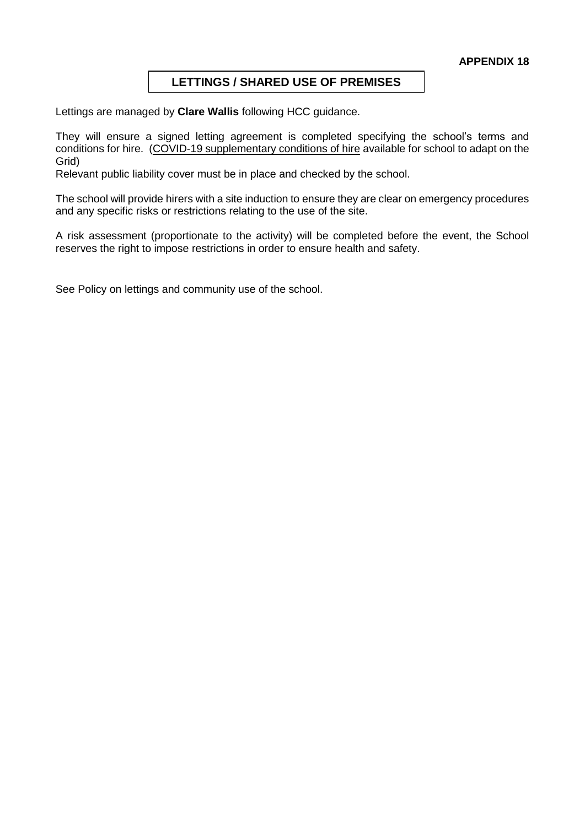# **LETTINGS / SHARED USE OF PREMISES**

Lettings are managed by **Clare Wallis** following HCC guidance.

They will ensure a signed letting agreement is completed specifying the school's terms and conditions for hire. [\(COVID-19 supplementary conditions of hire](https://thegrid.org.uk/health-and-safety-offsite-visits-premises/health-and-safety/premises-and-site-related) available for school to adapt on the Grid)

Relevant public liability cover must be in place and checked by the school.

The school will provide hirers with a site induction to ensure they are clear on emergency procedures and any specific risks or restrictions relating to the use of the site.

A risk assessment (proportionate to the activity) will be completed before the event, the School reserves the right to impose restrictions in order to ensure health and safety.

See Policy on lettings and community use of the school.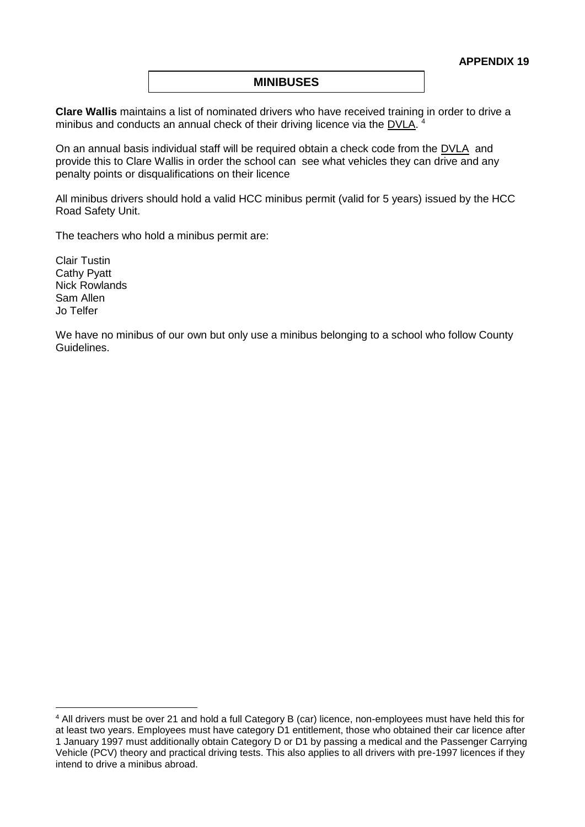#### **MINIBUSES**

**Clare Wallis** maintains a list of nominated drivers who have received training in order to drive a minibus and conducts an annual check of their driving licence via the [DVLA.](https://www.gov.uk/check-driving-information)<sup>4</sup>

On an annual basis individual staff will be required obtain a check code from the [DVLA](https://www.gov.uk/view-driving-licence#before-you-start) and provide this to Clare Wallis in order the school can see what vehicles they can drive and any penalty points or disqualifications on their licence

All minibus drivers should hold a valid HCC minibus permit (valid for 5 years) issued by the HCC Road Safety Unit.

The teachers who hold a minibus permit are:

Clair Tustin Cathy Pyatt Nick Rowlands Sam Allen Jo Telfer

<u>.</u>

We have no minibus of our own but only use a minibus belonging to a school who follow County Guidelines.

<sup>4</sup> All drivers must be over 21 and hold a full Category B (car) licence, non-employees must have held this for at least two years. Employees must have category D1 entitlement, those who obtained their car licence after 1 January 1997 must additionally obtain Category D or D1 by passing a medical and the Passenger Carrying Vehicle (PCV) theory and practical driving tests. This also applies to all drivers with pre-1997 licences if they intend to drive a minibus abroad.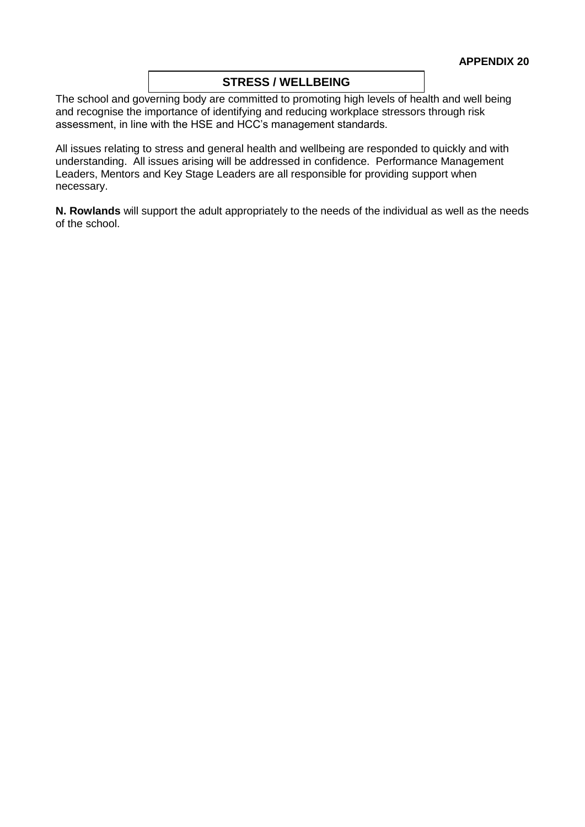## **STRESS / WELLBEING**

The school and governing body are committed to promoting high levels of health and well being and recognise the importance of identifying and reducing workplace stressors through risk assessment, in line with the HSE and HCC's management standards.

All issues relating to stress and general health and wellbeing are responded to quickly and with understanding. All issues arising will be addressed in confidence. Performance Management Leaders, Mentors and Key Stage Leaders are all responsible for providing support when necessary.

**N. Rowlands** will support the adult appropriately to the needs of the individual as well as the needs of the school.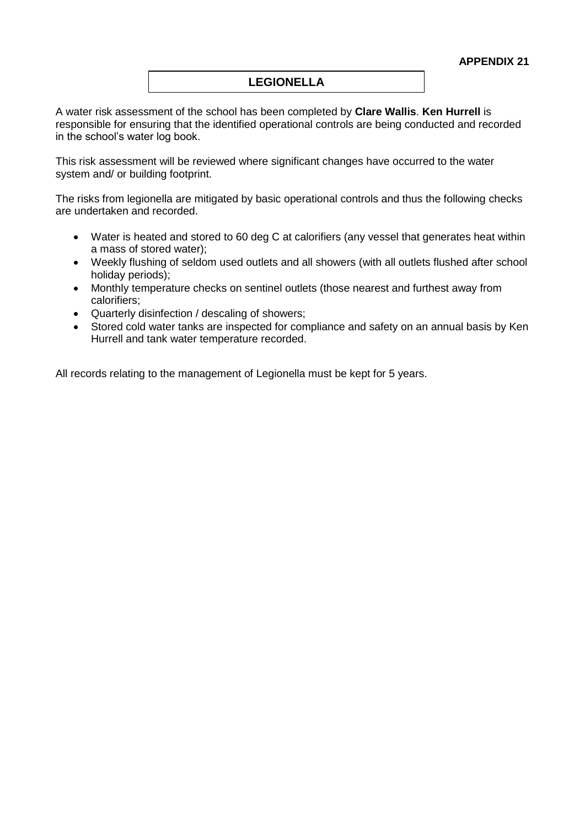# **LEGIONELLA**

A water risk assessment of the school has been completed by **Clare Wallis**. **Ken Hurrell** is responsible for ensuring that the identified operational controls are being conducted and recorded in the school's water log book.

This risk assessment will be reviewed where significant changes have occurred to the water system and/ or building footprint.

The risks from legionella are mitigated by basic operational controls and thus the following checks are undertaken and recorded.

- Water is heated and stored to 60 deg C at calorifiers (any vessel that generates heat within a mass of stored water);
- Weekly flushing of seldom used outlets and all showers (with all outlets flushed after school holiday periods);
- Monthly temperature checks on sentinel outlets (those nearest and furthest away from calorifiers;
- Quarterly disinfection / descaling of showers;
- Stored cold water tanks are inspected for compliance and safety on an annual basis by Ken Hurrell and tank water temperature recorded.

All records relating to the management of Legionella must be kept for 5 years.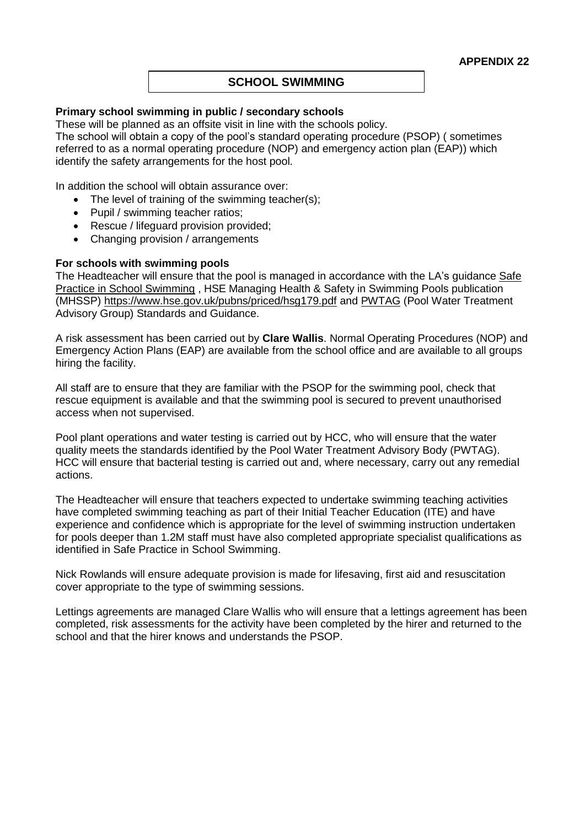## **SCHOOL SWIMMING**

#### **Primary school swimming in public / secondary schools**

These will be planned as an offsite visit in line with the schools policy.

The school will obtain a copy of the pool's standard operating procedure (PSOP) ( sometimes referred to as a normal operating procedure (NOP) and emergency action plan (EAP)) which identify the safety arrangements for the host pool.

In addition the school will obtain assurance over:

- The level of training of the swimming teacher(s);
- Pupil / swimming teacher ratios;
- Rescue / lifeguard provision provided;
- Changing provision / arrangements

#### **For schools with swimming pools**

The Headteacher will ensure that the pool is managed in accordance with the LA's guidance Safe [Practice in School Swimming](https://live-hgfl-the-grid.cloud.contensis.com/health-and-safety-offsite-visits-premises/health-and-safety/health-and-safety-topics/swimming) , HSE Managing Health & Safety in Swimming Pools publication (MHSSP)<https://www.hse.gov.uk/pubns/priced/hsg179.pdf> and [PWTAG](https://www.pwtag.org/standards-and-guidance-hub/) (Pool Water Treatment Advisory Group) Standards and Guidance.

A risk assessment has been carried out by **Clare Wallis**. Normal Operating Procedures (NOP) and Emergency Action Plans (EAP) are available from the school office and are available to all groups hiring the facility.

All staff are to ensure that they are familiar with the PSOP for the swimming pool, check that rescue equipment is available and that the swimming pool is secured to prevent unauthorised access when not supervised.

Pool plant operations and water testing is carried out by HCC, who will ensure that the water quality meets the standards identified by the Pool Water Treatment Advisory Body (PWTAG). HCC will ensure that bacterial testing is carried out and, where necessary, carry out any remedial actions.

The Headteacher will ensure that teachers expected to undertake swimming teaching activities have completed swimming teaching as part of their Initial Teacher Education (ITE) and have experience and confidence which is appropriate for the level of swimming instruction undertaken for pools deeper than 1.2M staff must have also completed appropriate specialist qualifications as identified in Safe Practice in School Swimming.

Nick Rowlands will ensure adequate provision is made for lifesaving, first aid and resuscitation cover appropriate to the type of swimming sessions.

Lettings agreements are managed Clare Wallis who will ensure that a lettings agreement has been completed, risk assessments for the activity have been completed by the hirer and returned to the school and that the hirer knows and understands the PSOP.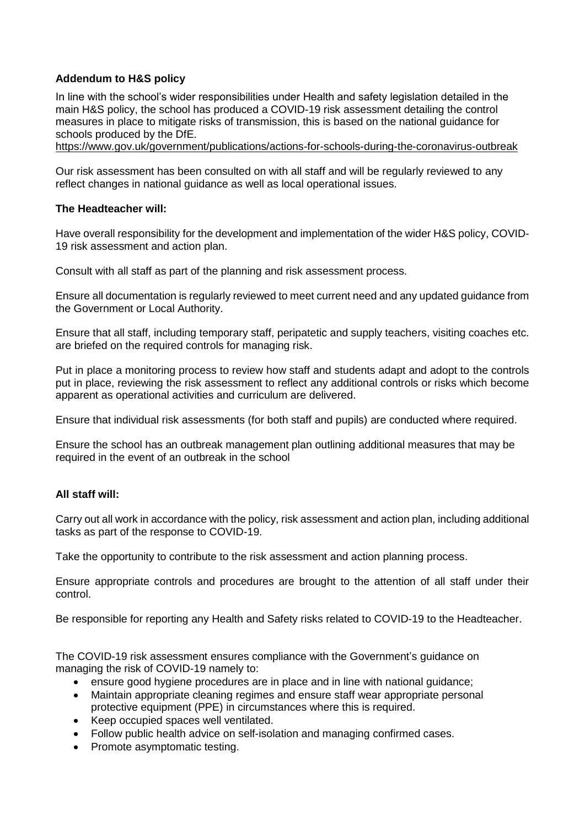# **Addendum to H&S policy**

In line with the school's wider responsibilities under Health and safety legislation detailed in the main H&S policy, the school has produced a COVID-19 risk assessment detailing the control measures in place to mitigate risks of transmission, this is based on the national guidance for schools produced by the DfE.

<https://www.gov.uk/government/publications/actions-for-schools-during-the-coronavirus-outbreak>

Our risk assessment has been consulted on with all staff and will be regularly reviewed to any reflect changes in national guidance as well as local operational issues.

#### **The Headteacher will:**

Have overall responsibility for the development and implementation of the wider H&S policy, COVID-19 risk assessment and action plan.

Consult with all staff as part of the planning and risk assessment process.

Ensure all documentation is regularly reviewed to meet current need and any updated guidance from the Government or Local Authority.

Ensure that all staff, including temporary staff, peripatetic and supply teachers, visiting coaches etc. are briefed on the required controls for managing risk.

Put in place a monitoring process to review how staff and students adapt and adopt to the controls put in place, reviewing the risk assessment to reflect any additional controls or risks which become apparent as operational activities and curriculum are delivered.

Ensure that individual risk assessments (for both staff and pupils) are conducted where required.

Ensure the school has an outbreak management plan outlining additional measures that may be required in the event of an outbreak in the school

## **All staff will:**

Carry out all work in accordance with the policy, risk assessment and action plan, including additional tasks as part of the response to COVID-19.

Take the opportunity to contribute to the risk assessment and action planning process.

Ensure appropriate controls and procedures are brought to the attention of all staff under their control.

Be responsible for reporting any Health and Safety risks related to COVID-19 to the Headteacher.

The COVID-19 risk assessment ensures compliance with the Government's guidance on managing the risk of COVID-19 namely to:

- ensure good hygiene procedures are in place and in line with national guidance;
- Maintain appropriate cleaning regimes and ensure staff wear appropriate personal protective equipment (PPE) in circumstances where this is required.
- Keep occupied spaces well ventilated.
- Follow public health advice on self-isolation and managing confirmed cases.
- Promote asymptomatic testing.